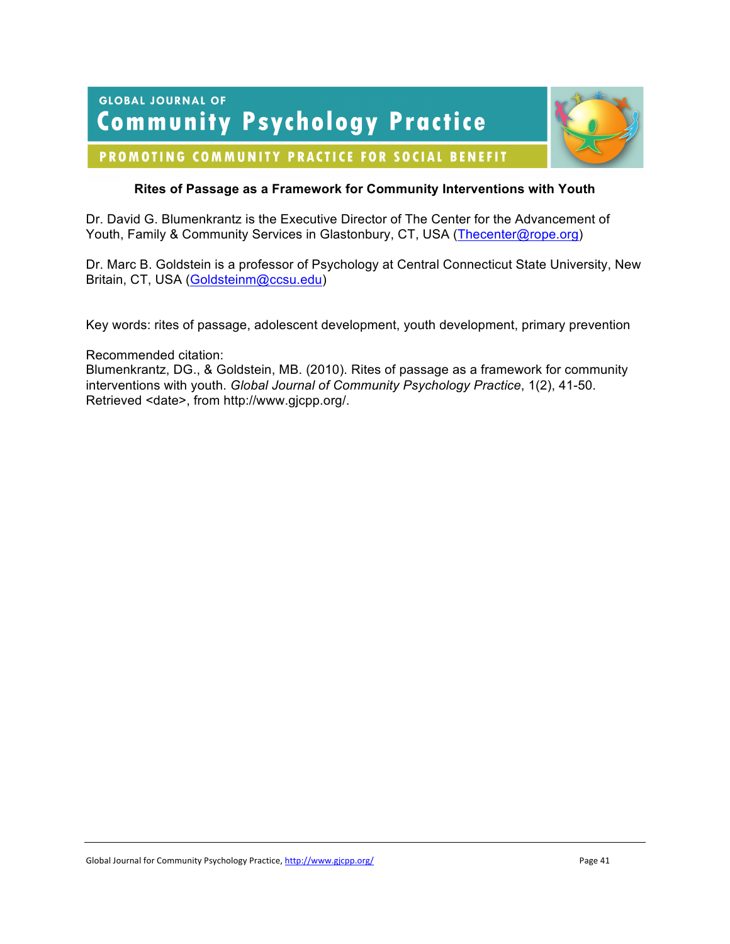**GLOBAL JOURNAL OF Community Psychology Practice** 



# PROMOTING COMMUNITY PRACTICE FOR SOCIAL BENEFIT

# **Rites of Passage as a Framework for Community Interventions with Youth**

Dr. David G. Blumenkrantz is the Executive Director of The Center for the Advancement of Youth, Family & Community Services in Glastonbury, CT, USA (Thecenter@rope.org)

Dr. Marc B. Goldstein is a professor of Psychology at Central Connecticut State University, New Britain, CT, USA (Goldsteinm@ccsu.edu)

Key words: rites of passage, adolescent development, youth development, primary prevention

Recommended citation:

Blumenkrantz, DG., & Goldstein, MB. (2010). Rites of passage as a framework for community interventions with youth. *Global Journal of Community Psychology Practice*, 1(2), 41-50. Retrieved <date>, from http://www.gjcpp.org/.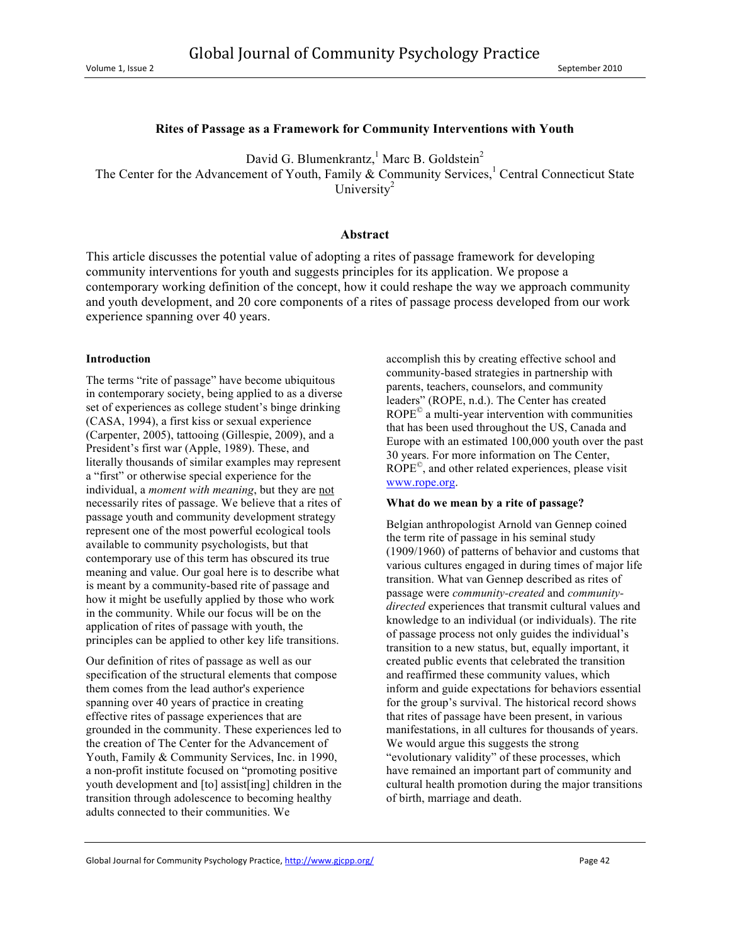#### **Rites of Passage as a Framework for Community Interventions with Youth**

David G. Blumenkrantz,  $^1$  Marc B. Goldstein<sup>2</sup>

The Center for the Advancement of Youth, Family & Community Services, ${}^{1}$  Central Connecticut State University $2$ 

#### **Abstract**

This article discusses the potential value of adopting a rites of passage framework for developing community interventions for youth and suggests principles for its application. We propose a contemporary working definition of the concept, how it could reshape the way we approach community and youth development, and 20 core components of a rites of passage process developed from our work experience spanning over 40 years.

#### **Introduction**

The terms "rite of passage" have become ubiquitous in contemporary society, being applied to as a diverse set of experiences as college student's binge drinking (CASA, 1994), a first kiss or sexual experience (Carpenter, 2005), tattooing (Gillespie, 2009), and a President's first war (Apple, 1989). These, and literally thousands of similar examples may represent a "first" or otherwise special experience for the individual, a *moment with meaning*, but they are not necessarily rites of passage. We believe that a rites of passage youth and community development strategy represent one of the most powerful ecological tools available to community psychologists, but that contemporary use of this term has obscured its true meaning and value. Our goal here is to describe what is meant by a community-based rite of passage and how it might be usefully applied by those who work in the community. While our focus will be on the application of rites of passage with youth, the principles can be applied to other key life transitions.

Our definition of rites of passage as well as our specification of the structural elements that compose them comes from the lead author's experience spanning over 40 years of practice in creating effective rites of passage experiences that are grounded in the community. These experiences led to the creation of The Center for the Advancement of Youth, Family & Community Services, Inc. in 1990, a non-profit institute focused on "promoting positive youth development and [to] assist[ing] children in the transition through adolescence to becoming healthy adults connected to their communities. We

accomplish this by creating effective school and community-based strategies in partnership with parents, teachers, counselors, and community leaders" (ROPE, n.d.). The Center has created ROPE© a multi-year intervention with communities that has been used throughout the US, Canada and Europe with an estimated 100,000 youth over the past 30 years. For more information on The Center,  $ROPE<sup>°</sup>$ , and other related experiences, please visit www.rope.org.

#### **What do we mean by a rite of passage?**

Belgian anthropologist Arnold van Gennep coined the term rite of passage in his seminal study (1909/1960) of patterns of behavior and customs that various cultures engaged in during times of major life transition. What van Gennep described as rites of passage were *community-created* and *communitydirected* experiences that transmit cultural values and knowledge to an individual (or individuals). The rite of passage process not only guides the individual's transition to a new status, but, equally important, it created public events that celebrated the transition and reaffirmed these community values, which inform and guide expectations for behaviors essential for the group's survival. The historical record shows that rites of passage have been present, in various manifestations, in all cultures for thousands of years. We would argue this suggests the strong "evolutionary validity" of these processes, which have remained an important part of community and cultural health promotion during the major transitions of birth, marriage and death.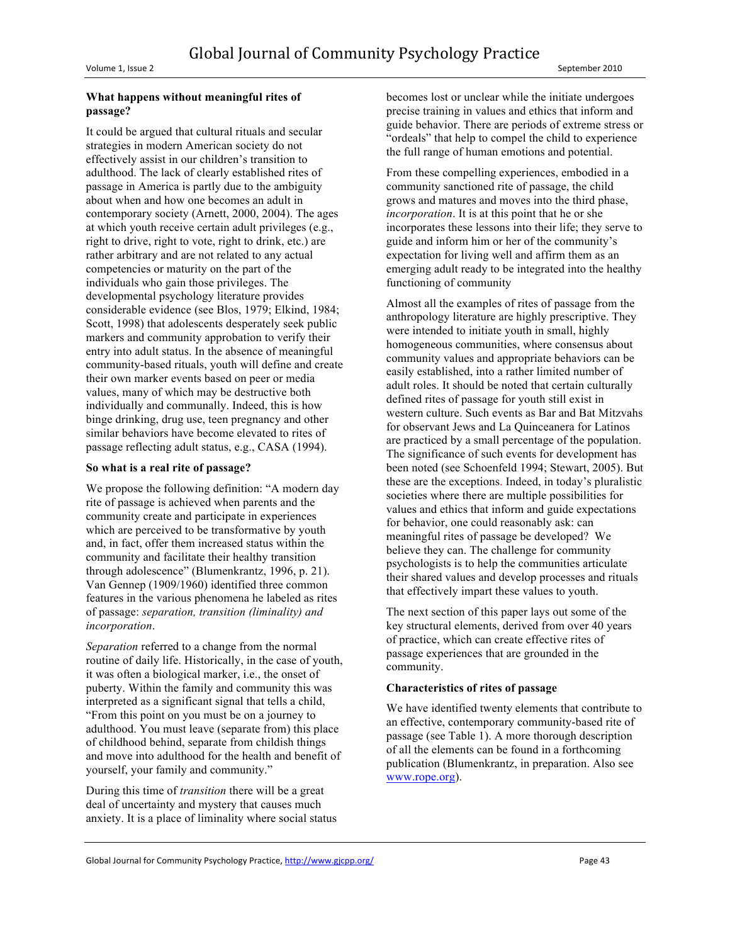### **What happens without meaningful rites of passage?**

It could be argued that cultural rituals and secular strategies in modern American society do not effectively assist in our children's transition to adulthood. The lack of clearly established rites of passage in America is partly due to the ambiguity about when and how one becomes an adult in contemporary society (Arnett, 2000, 2004). The ages at which youth receive certain adult privileges (e.g., right to drive, right to vote, right to drink, etc.) are rather arbitrary and are not related to any actual competencies or maturity on the part of the individuals who gain those privileges. The developmental psychology literature provides considerable evidence (see Blos, 1979; Elkind, 1984; Scott, 1998) that adolescents desperately seek public markers and community approbation to verify their entry into adult status. In the absence of meaningful community-based rituals, youth will define and create their own marker events based on peer or media values, many of which may be destructive both individually and communally. Indeed, this is how binge drinking, drug use, teen pregnancy and other similar behaviors have become elevated to rites of passage reflecting adult status, e.g., CASA (1994).

## **So what is a real rite of passage?**

We propose the following definition: "A modern day rite of passage is achieved when parents and the community create and participate in experiences which are perceived to be transformative by youth and, in fact, offer them increased status within the community and facilitate their healthy transition through adolescence" (Blumenkrantz, 1996, p. 21). Van Gennep (1909/1960) identified three common features in the various phenomena he labeled as rites of passage: *separation, transition (liminality) and incorporation*.

*Separation* referred to a change from the normal routine of daily life. Historically, in the case of youth, it was often a biological marker, i.e., the onset of puberty. Within the family and community this was interpreted as a significant signal that tells a child, "From this point on you must be on a journey to adulthood. You must leave (separate from) this place of childhood behind, separate from childish things and move into adulthood for the health and benefit of yourself, your family and community."

During this time of *transition* there will be a great deal of uncertainty and mystery that causes much anxiety. It is a place of liminality where social status becomes lost or unclear while the initiate undergoes precise training in values and ethics that inform and guide behavior. There are periods of extreme stress or "ordeals" that help to compel the child to experience the full range of human emotions and potential.

From these compelling experiences, embodied in a community sanctioned rite of passage, the child grows and matures and moves into the third phase, *incorporation*. It is at this point that he or she incorporates these lessons into their life; they serve to guide and inform him or her of the community's expectation for living well and affirm them as an emerging adult ready to be integrated into the healthy functioning of community

Almost all the examples of rites of passage from the anthropology literature are highly prescriptive. They were intended to initiate youth in small, highly homogeneous communities, where consensus about community values and appropriate behaviors can be easily established, into a rather limited number of adult roles. It should be noted that certain culturally defined rites of passage for youth still exist in western culture. Such events as Bar and Bat Mitzvahs for observant Jews and La Quinceanera for Latinos are practiced by a small percentage of the population. The significance of such events for development has been noted (see Schoenfeld 1994; Stewart, 2005). But these are the exceptions. Indeed, in today's pluralistic societies where there are multiple possibilities for values and ethics that inform and guide expectations for behavior, one could reasonably ask: can meaningful rites of passage be developed? We believe they can. The challenge for community psychologists is to help the communities articulate their shared values and develop processes and rituals that effectively impart these values to youth.

The next section of this paper lays out some of the key structural elements, derived from over 40 years of practice, which can create effective rites of passage experiences that are grounded in the community.

### **Characteristics of rites of passage**

We have identified twenty elements that contribute to an effective, contemporary community-based rite of passage (see Table 1). A more thorough description of all the elements can be found in a forthcoming publication (Blumenkrantz, in preparation. Also see www.rope.org).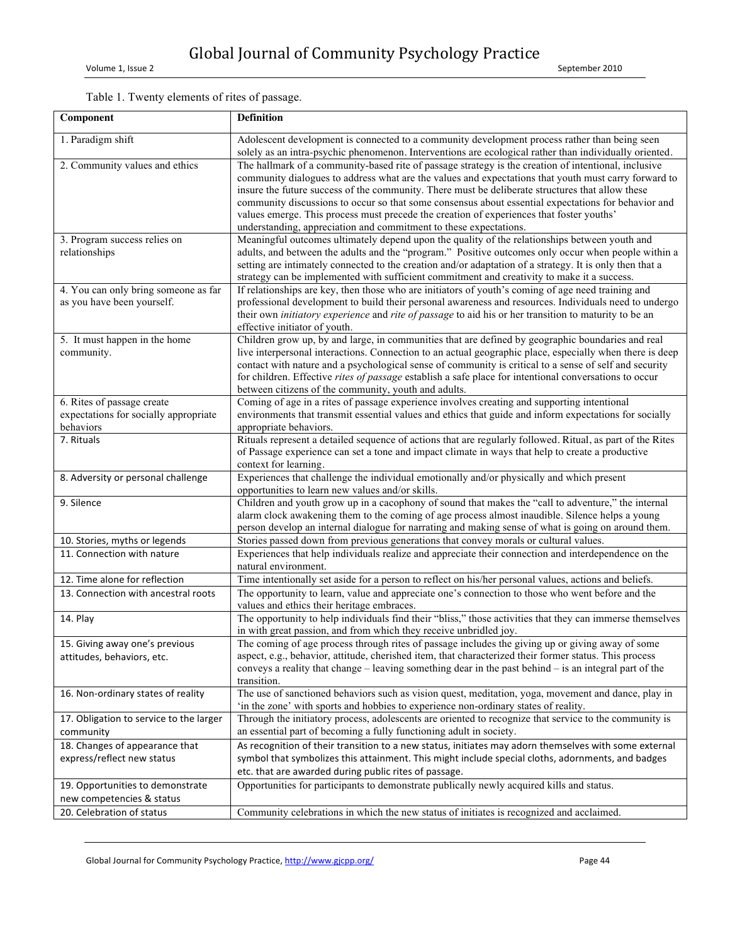# Table 1. Twenty elements of rites of passage.

| Component                                                           | <b>Definition</b>                                                                                                                                                                                             |
|---------------------------------------------------------------------|---------------------------------------------------------------------------------------------------------------------------------------------------------------------------------------------------------------|
| 1. Paradigm shift                                                   | Adolescent development is connected to a community development process rather than being seen<br>solely as an intra-psychic phenomenon. Interventions are ecological rather than individually oriented.       |
| 2. Community values and ethics                                      | The hallmark of a community-based rite of passage strategy is the creation of intentional, inclusive<br>community dialogues to address what are the values and expectations that youth must carry forward to  |
|                                                                     | insure the future success of the community. There must be deliberate structures that allow these                                                                                                              |
|                                                                     | community discussions to occur so that some consensus about essential expectations for behavior and                                                                                                           |
|                                                                     | values emerge. This process must precede the creation of experiences that foster youths'<br>understanding, appreciation and commitment to these expectations.                                                 |
| 3. Program success relies on                                        | Meaningful outcomes ultimately depend upon the quality of the relationships between youth and                                                                                                                 |
| relationships                                                       | adults, and between the adults and the "program." Positive outcomes only occur when people within a                                                                                                           |
|                                                                     | setting are intimately connected to the creation and/or adaptation of a strategy. It is only then that a<br>strategy can be implemented with sufficient commitment and creativity to make it a success.       |
| 4. You can only bring someone as far                                | If relationships are key, then those who are initiators of youth's coming of age need training and                                                                                                            |
| as you have been yourself.                                          | professional development to build their personal awareness and resources. Individuals need to undergo                                                                                                         |
|                                                                     | their own <i>initiatory experience</i> and <i>rite of passage</i> to aid his or her transition to maturity to be an                                                                                           |
|                                                                     | effective initiator of youth.                                                                                                                                                                                 |
| 5. It must happen in the home<br>community.                         | Children grow up, by and large, in communities that are defined by geographic boundaries and real<br>live interpersonal interactions. Connection to an actual geographic place, especially when there is deep |
|                                                                     | contact with nature and a psychological sense of community is critical to a sense of self and security                                                                                                        |
|                                                                     | for children. Effective rites of passage establish a safe place for intentional conversations to occur                                                                                                        |
|                                                                     | between citizens of the community, youth and adults.                                                                                                                                                          |
| 6. Rites of passage create<br>expectations for socially appropriate | Coming of age in a rites of passage experience involves creating and supporting intentional<br>environments that transmit essential values and ethics that guide and inform expectations for socially         |
| behaviors                                                           | appropriate behaviors.                                                                                                                                                                                        |
| 7. Rituals                                                          | Rituals represent a detailed sequence of actions that are regularly followed. Ritual, as part of the Rites                                                                                                    |
|                                                                     | of Passage experience can set a tone and impact climate in ways that help to create a productive<br>context for learning.                                                                                     |
| 8. Adversity or personal challenge                                  | Experiences that challenge the individual emotionally and/or physically and which present                                                                                                                     |
|                                                                     | opportunities to learn new values and/or skills.                                                                                                                                                              |
| 9. Silence                                                          | Children and youth grow up in a cacophony of sound that makes the "call to adventure," the internal                                                                                                           |
|                                                                     | alarm clock awakening them to the coming of age process almost inaudible. Silence helps a young                                                                                                               |
| 10. Stories, myths or legends                                       | person develop an internal dialogue for narrating and making sense of what is going on around them.<br>Stories passed down from previous generations that convey morals or cultural values.                   |
| 11. Connection with nature                                          | Experiences that help individuals realize and appreciate their connection and interdependence on the                                                                                                          |
|                                                                     | natural environment.                                                                                                                                                                                          |
| 12. Time alone for reflection                                       | Time intentionally set aside for a person to reflect on his/her personal values, actions and beliefs.                                                                                                         |
| 13. Connection with ancestral roots                                 | The opportunity to learn, value and appreciate one's connection to those who went before and the<br>values and ethics their heritage embraces.                                                                |
| 14. Play                                                            | The opportunity to help individuals find their "bliss," those activities that they can immerse themselves                                                                                                     |
| 15. Giving away one's previous                                      | in with great passion, and from which they receive unbridled joy.<br>The coming of age process through rites of passage includes the giving up or giving away of some                                         |
| attitudes, behaviors, etc.                                          | aspect, e.g., behavior, attitude, cherished item, that characterized their former status. This process                                                                                                        |
|                                                                     | conveys a reality that change $-$ leaving something dear in the past behind $-$ is an integral part of the                                                                                                    |
|                                                                     | transition.                                                                                                                                                                                                   |
| 16. Non-ordinary states of reality                                  | The use of sanctioned behaviors such as vision quest, meditation, yoga, movement and dance, play in<br>'in the zone' with sports and hobbies to experience non-ordinary states of reality.                    |
| 17. Obligation to service to the larger                             | Through the initiatory process, adolescents are oriented to recognize that service to the community is                                                                                                        |
| community                                                           | an essential part of becoming a fully functioning adult in society.                                                                                                                                           |
| 18. Changes of appearance that                                      | As recognition of their transition to a new status, initiates may adorn themselves with some external                                                                                                         |
| express/reflect new status                                          | symbol that symbolizes this attainment. This might include special cloths, adornments, and badges<br>etc. that are awarded during public rites of passage.                                                    |
| 19. Opportunities to demonstrate                                    | Opportunities for participants to demonstrate publically newly acquired kills and status.                                                                                                                     |
| new competencies & status                                           |                                                                                                                                                                                                               |
| 20. Celebration of status                                           | Community celebrations in which the new status of initiates is recognized and acclaimed.                                                                                                                      |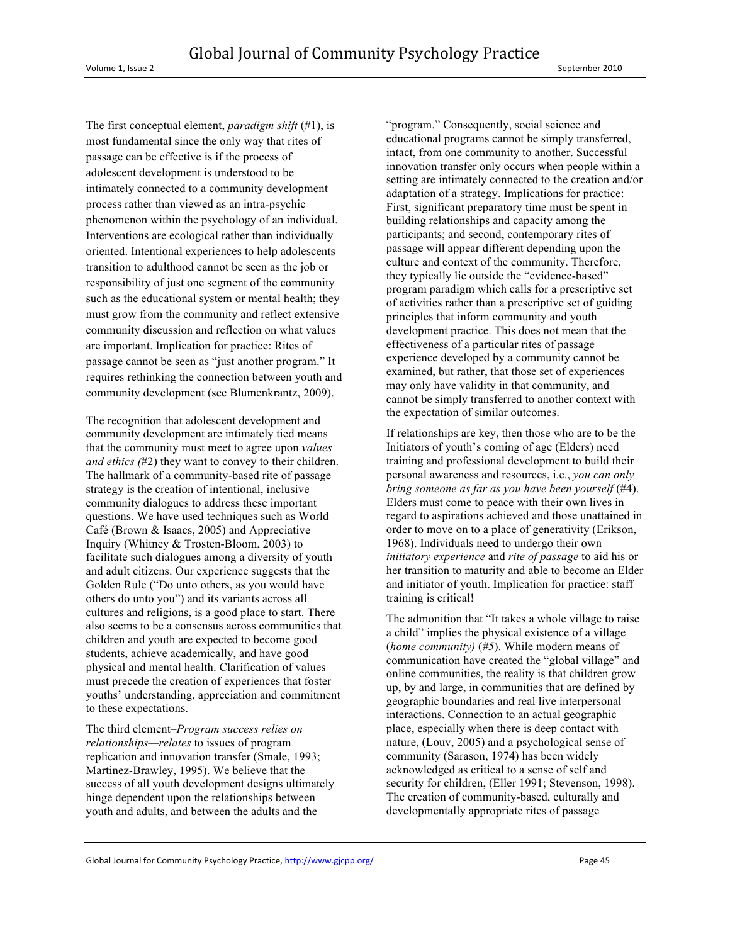The first conceptual element, *paradigm shift* (#1), is most fundamental since the only way that rites of passage can be effective is if the process of adolescent development is understood to be intimately connected to a community development process rather than viewed as an intra-psychic phenomenon within the psychology of an individual. Interventions are ecological rather than individually oriented. Intentional experiences to help adolescents transition to adulthood cannot be seen as the job or responsibility of just one segment of the community such as the educational system or mental health; they must grow from the community and reflect extensive community discussion and reflection on what values are important. Implication for practice: Rites of passage cannot be seen as "just another program." It requires rethinking the connection between youth and community development (see Blumenkrantz, 2009).

The recognition that adolescent development and community development are intimately tied means that the community must meet to agree upon *values and ethics (*#2) they want to convey to their children. The hallmark of a community-based rite of passage strategy is the creation of intentional, inclusive community dialogues to address these important questions. We have used techniques such as World Café (Brown & Isaacs, 2005) and Appreciative Inquiry (Whitney & Trosten-Bloom, 2003) to facilitate such dialogues among a diversity of youth and adult citizens. Our experience suggests that the Golden Rule ("Do unto others, as you would have others do unto you") and its variants across all cultures and religions, is a good place to start. There also seems to be a consensus across communities that children and youth are expected to become good students, achieve academically, and have good physical and mental health. Clarification of values must precede the creation of experiences that foster youths' understanding, appreciation and commitment to these expectations.

The third element–*Program success relies on relationships—relates* to issues of program replication and innovation transfer (Smale, 1993; Martinez-Brawley, 1995). We believe that the success of all youth development designs ultimately hinge dependent upon the relationships between youth and adults, and between the adults and the

"program." Consequently, social science and educational programs cannot be simply transferred, intact, from one community to another. Successful innovation transfer only occurs when people within a setting are intimately connected to the creation and/or adaptation of a strategy. Implications for practice: First, significant preparatory time must be spent in building relationships and capacity among the participants; and second, contemporary rites of passage will appear different depending upon the culture and context of the community. Therefore, they typically lie outside the "evidence-based" program paradigm which calls for a prescriptive set of activities rather than a prescriptive set of guiding principles that inform community and youth development practice. This does not mean that the effectiveness of a particular rites of passage experience developed by a community cannot be examined, but rather, that those set of experiences may only have validity in that community, and cannot be simply transferred to another context with the expectation of similar outcomes.

If relationships are key, then those who are to be the Initiators of youth's coming of age (Elders) need training and professional development to build their personal awareness and resources, i.e., *you can only bring someone as far as you have been yourself* (#4). Elders must come to peace with their own lives in regard to aspirations achieved and those unattained in order to move on to a place of generativity (Erikson, 1968). Individuals need to undergo their own *initiatory experience* and *rite of passage* to aid his or her transition to maturity and able to become an Elder and initiator of youth. Implication for practice: staff training is critical!

The admonition that "It takes a whole village to raise a child" implies the physical existence of a village (*home community)* (*#5*). While modern means of communication have created the "global village" and online communities, the reality is that children grow up, by and large, in communities that are defined by geographic boundaries and real live interpersonal interactions. Connection to an actual geographic place, especially when there is deep contact with nature, (Louv, 2005) and a psychological sense of community (Sarason, 1974) has been widely acknowledged as critical to a sense of self and security for children, (Eller 1991; Stevenson, 1998). The creation of community-based, culturally and developmentally appropriate rites of passage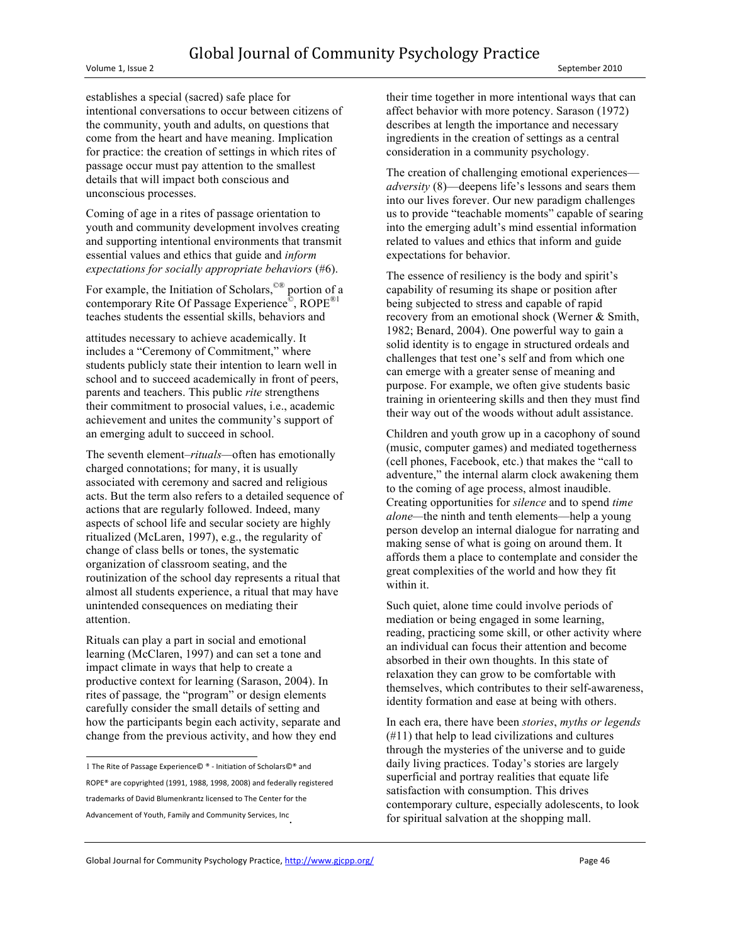establishes a special (sacred) safe place for intentional conversations to occur between citizens of the community, youth and adults, on questions that come from the heart and have meaning. Implication for practice: the creation of settings in which rites of passage occur must pay attention to the smallest details that will impact both conscious and unconscious processes.

Coming of age in a rites of passage orientation to youth and community development involves creating and supporting intentional environments that transmit essential values and ethics that guide and *inform expectations for socially appropriate behaviors* (#6).

For example, the Initiation of Scholars,<sup>©®</sup> portion of a contemporary Rite Of Passage Experience<sup>®</sup>, ROPE<sup>®1</sup> teaches students the essential skills, behaviors and

attitudes necessary to achieve academically. It includes a "Ceremony of Commitment," where students publicly state their intention to learn well in school and to succeed academically in front of peers, parents and teachers. This public *rite* strengthens their commitment to prosocial values, i.e., academic achievement and unites the community's support of an emerging adult to succeed in school.

The seventh element–*rituals—*often has emotionally charged connotations; for many, it is usually associated with ceremony and sacred and religious acts. But the term also refers to a detailed sequence of actions that are regularly followed. Indeed, many aspects of school life and secular society are highly ritualized (McLaren, 1997), e.g., the regularity of change of class bells or tones, the systematic organization of classroom seating, and the routinization of the school day represents a ritual that almost all students experience, a ritual that may have unintended consequences on mediating their attention.

Rituals can play a part in social and emotional learning (McClaren, 1997) and can set a tone and impact climate in ways that help to create a productive context for learning (Sarason, 2004). In rites of passage*,* the "program" or design elements carefully consider the small details of setting and how the participants begin each activity, separate and change from the previous activity, and how they end

!!!<br>! The Rite of Passage Experience© ® - Initiation of Scholars©® and ROPE® are copyrighted (1991, 1988, 1998, 2008) and federally registered trademarks of David Blumenkrantz licensed to The Center for the Advancement of Youth, Family and Community Services, Inc.

their time together in more intentional ways that can affect behavior with more potency. Sarason (1972) describes at length the importance and necessary ingredients in the creation of settings as a central consideration in a community psychology.

The creation of challenging emotional experiences *adversity* (8)—deepens life's lessons and sears them into our lives forever. Our new paradigm challenges us to provide "teachable moments" capable of searing into the emerging adult's mind essential information related to values and ethics that inform and guide expectations for behavior.

The essence of resiliency is the body and spirit's capability of resuming its shape or position after being subjected to stress and capable of rapid recovery from an emotional shock (Werner & Smith, 1982; Benard, 2004). One powerful way to gain a solid identity is to engage in structured ordeals and challenges that test one's self and from which one can emerge with a greater sense of meaning and purpose. For example, we often give students basic training in orienteering skills and then they must find their way out of the woods without adult assistance.

Children and youth grow up in a cacophony of sound (music, computer games) and mediated togetherness (cell phones, Facebook, etc.) that makes the "call to adventure," the internal alarm clock awakening them to the coming of age process, almost inaudible. Creating opportunities for *silence* and to spend *time alone—*the ninth and tenth elements—help a young person develop an internal dialogue for narrating and making sense of what is going on around them. It affords them a place to contemplate and consider the great complexities of the world and how they fit within it.

Such quiet, alone time could involve periods of mediation or being engaged in some learning, reading, practicing some skill, or other activity where an individual can focus their attention and become absorbed in their own thoughts. In this state of relaxation they can grow to be comfortable with themselves, which contributes to their self-awareness, identity formation and ease at being with others.

In each era, there have been *stories*, *myths or legends* (#11) that help to lead civilizations and cultures through the mysteries of the universe and to guide daily living practices. Today's stories are largely superficial and portray realities that equate life satisfaction with consumption. This drives contemporary culture, especially adolescents, to look for spiritual salvation at the shopping mall.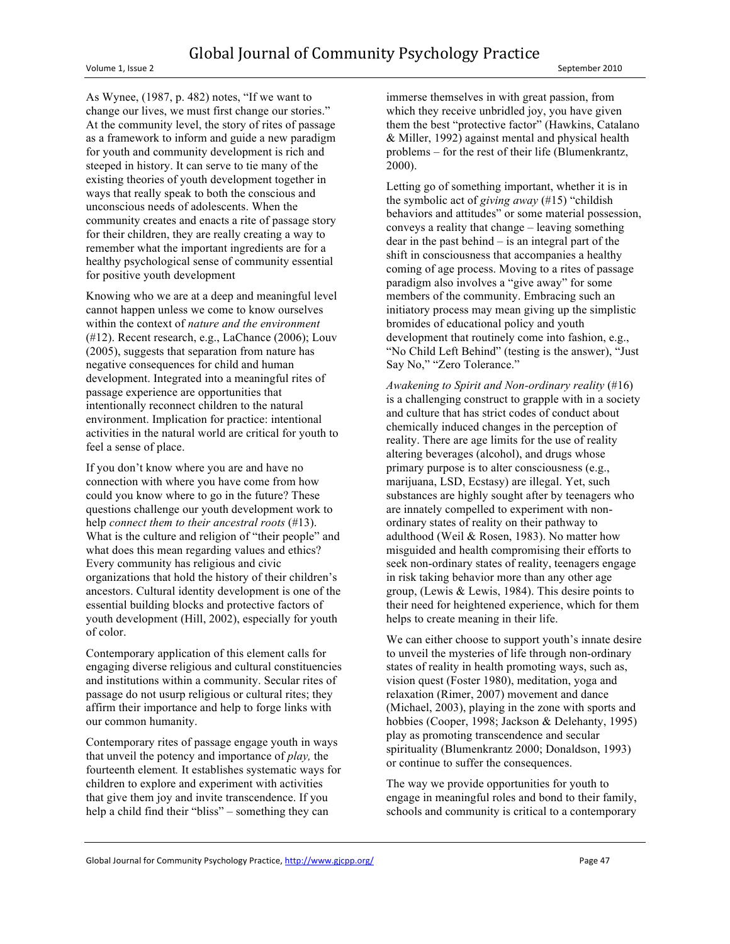Volume 1, Issue 2 September 2010

As Wynee, (1987, p. 482) notes, "If we want to change our lives, we must first change our stories." At the community level, the story of rites of passage as a framework to inform and guide a new paradigm for youth and community development is rich and steeped in history. It can serve to tie many of the existing theories of youth development together in ways that really speak to both the conscious and unconscious needs of adolescents. When the community creates and enacts a rite of passage story for their children, they are really creating a way to remember what the important ingredients are for a healthy psychological sense of community essential for positive youth development

Knowing who we are at a deep and meaningful level cannot happen unless we come to know ourselves within the context of *nature and the environment*  (#12). Recent research, e.g., LaChance (2006); Louv (2005), suggests that separation from nature has negative consequences for child and human development. Integrated into a meaningful rites of passage experience are opportunities that intentionally reconnect children to the natural environment. Implication for practice: intentional activities in the natural world are critical for youth to feel a sense of place.

If you don't know where you are and have no connection with where you have come from how could you know where to go in the future? These questions challenge our youth development work to help *connect them to their ancestral roots* (#13). What is the culture and religion of "their people" and what does this mean regarding values and ethics? Every community has religious and civic organizations that hold the history of their children's ancestors. Cultural identity development is one of the essential building blocks and protective factors of youth development (Hill, 2002), especially for youth of color.

Contemporary application of this element calls for engaging diverse religious and cultural constituencies and institutions within a community. Secular rites of passage do not usurp religious or cultural rites; they affirm their importance and help to forge links with our common humanity.

Contemporary rites of passage engage youth in ways that unveil the potency and importance of *play,* the fourteenth element*.* It establishes systematic ways for children to explore and experiment with activities that give them joy and invite transcendence. If you help a child find their "bliss" – something they can

immerse themselves in with great passion, from which they receive unbridled joy, you have given them the best "protective factor" (Hawkins, Catalano & Miller, 1992) against mental and physical health problems – for the rest of their life (Blumenkrantz, 2000).

Letting go of something important, whether it is in the symbolic act of *giving away* (#15) "childish behaviors and attitudes" or some material possession, conveys a reality that change – leaving something dear in the past behind – is an integral part of the shift in consciousness that accompanies a healthy coming of age process. Moving to a rites of passage paradigm also involves a "give away" for some members of the community. Embracing such an initiatory process may mean giving up the simplistic bromides of educational policy and youth development that routinely come into fashion, e.g., "No Child Left Behind" (testing is the answer), "Just Say No," "Zero Tolerance."

*Awakening to Spirit and Non-ordinary reality* (#16) is a challenging construct to grapple with in a society and culture that has strict codes of conduct about chemically induced changes in the perception of reality. There are age limits for the use of reality altering beverages (alcohol), and drugs whose primary purpose is to alter consciousness (e.g., marijuana, LSD, Ecstasy) are illegal. Yet, such substances are highly sought after by teenagers who are innately compelled to experiment with nonordinary states of reality on their pathway to adulthood (Weil & Rosen, 1983). No matter how misguided and health compromising their efforts to seek non-ordinary states of reality, teenagers engage in risk taking behavior more than any other age group, (Lewis & Lewis, 1984). This desire points to their need for heightened experience, which for them helps to create meaning in their life.

We can either choose to support youth's innate desire to unveil the mysteries of life through non-ordinary states of reality in health promoting ways, such as, vision quest (Foster 1980), meditation, yoga and relaxation (Rimer, 2007) movement and dance (Michael, 2003), playing in the zone with sports and hobbies (Cooper, 1998; Jackson & Delehanty, 1995) play as promoting transcendence and secular spirituality (Blumenkrantz 2000; Donaldson, 1993) or continue to suffer the consequences.

The way we provide opportunities for youth to engage in meaningful roles and bond to their family, schools and community is critical to a contemporary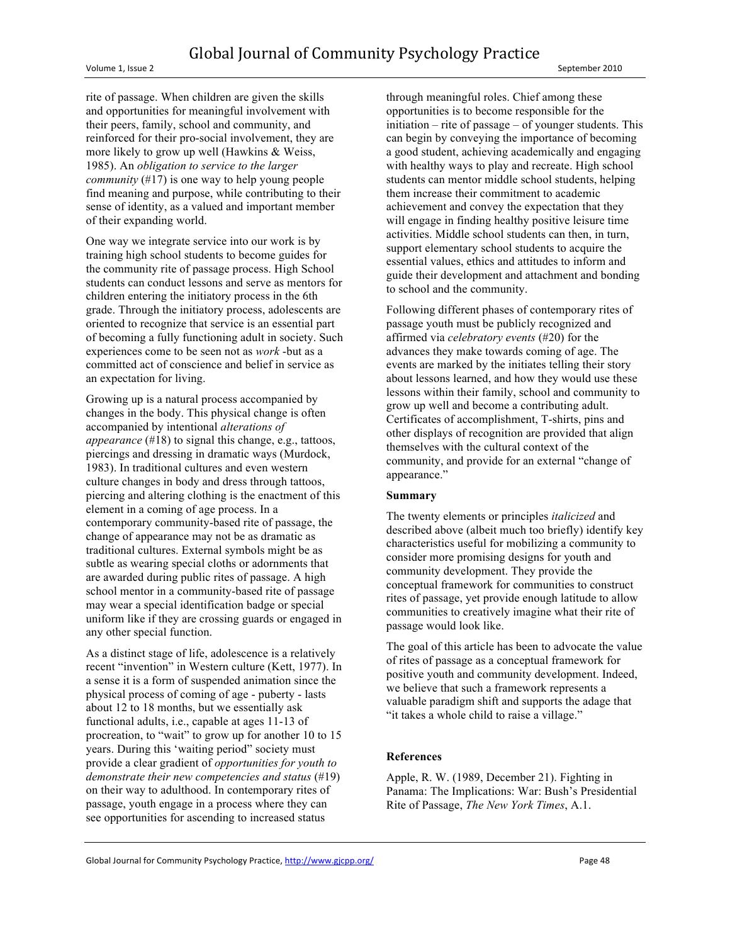Volume 1, Issue 2 September 2010

rite of passage. When children are given the skills and opportunities for meaningful involvement with their peers, family, school and community, and reinforced for their pro-social involvement, they are more likely to grow up well (Hawkins & Weiss, 1985). An *obligation to service to the larger community* (#17) is one way to help young people find meaning and purpose, while contributing to their sense of identity, as a valued and important member of their expanding world.

One way we integrate service into our work is by training high school students to become guides for the community rite of passage process. High School students can conduct lessons and serve as mentors for children entering the initiatory process in the 6th grade. Through the initiatory process, adolescents are oriented to recognize that service is an essential part of becoming a fully functioning adult in society. Such experiences come to be seen not as *work* -but as a committed act of conscience and belief in service as an expectation for living.

Growing up is a natural process accompanied by changes in the body. This physical change is often accompanied by intentional *alterations of appearance* (#18) to signal this change, e.g., tattoos, piercings and dressing in dramatic ways (Murdock, 1983). In traditional cultures and even western culture changes in body and dress through tattoos, piercing and altering clothing is the enactment of this element in a coming of age process. In a contemporary community-based rite of passage, the change of appearance may not be as dramatic as traditional cultures. External symbols might be as subtle as wearing special cloths or adornments that are awarded during public rites of passage. A high school mentor in a community-based rite of passage may wear a special identification badge or special uniform like if they are crossing guards or engaged in any other special function.

As a distinct stage of life, adolescence is a relatively recent "invention" in Western culture (Kett, 1977). In a sense it is a form of suspended animation since the physical process of coming of age - puberty - lasts about 12 to 18 months, but we essentially ask functional adults, i.e., capable at ages 11-13 of procreation, to "wait" to grow up for another 10 to 15 years. During this 'waiting period" society must provide a clear gradient of *opportunities for youth to demonstrate their new competencies and status* (#19) on their way to adulthood. In contemporary rites of passage, youth engage in a process where they can see opportunities for ascending to increased status

through meaningful roles. Chief among these opportunities is to become responsible for the initiation – rite of passage – of younger students. This can begin by conveying the importance of becoming a good student, achieving academically and engaging with healthy ways to play and recreate. High school students can mentor middle school students, helping them increase their commitment to academic achievement and convey the expectation that they will engage in finding healthy positive leisure time activities. Middle school students can then, in turn, support elementary school students to acquire the essential values, ethics and attitudes to inform and guide their development and attachment and bonding to school and the community.

Following different phases of contemporary rites of passage youth must be publicly recognized and affirmed via *celebratory events* (#20) for the advances they make towards coming of age. The events are marked by the initiates telling their story about lessons learned, and how they would use these lessons within their family, school and community to grow up well and become a contributing adult. Certificates of accomplishment, T-shirts, pins and other displays of recognition are provided that align themselves with the cultural context of the community, and provide for an external "change of appearance."

### **Summary**

The twenty elements or principles *italicized* and described above (albeit much too briefly) identify key characteristics useful for mobilizing a community to consider more promising designs for youth and community development. They provide the conceptual framework for communities to construct rites of passage, yet provide enough latitude to allow communities to creatively imagine what their rite of passage would look like.

The goal of this article has been to advocate the value of rites of passage as a conceptual framework for positive youth and community development. Indeed, we believe that such a framework represents a valuable paradigm shift and supports the adage that "it takes a whole child to raise a village."

### **References**

Apple, R. W. (1989, December 21). Fighting in Panama: The Implications: War: Bush's Presidential Rite of Passage, *The New York Times*, A.1.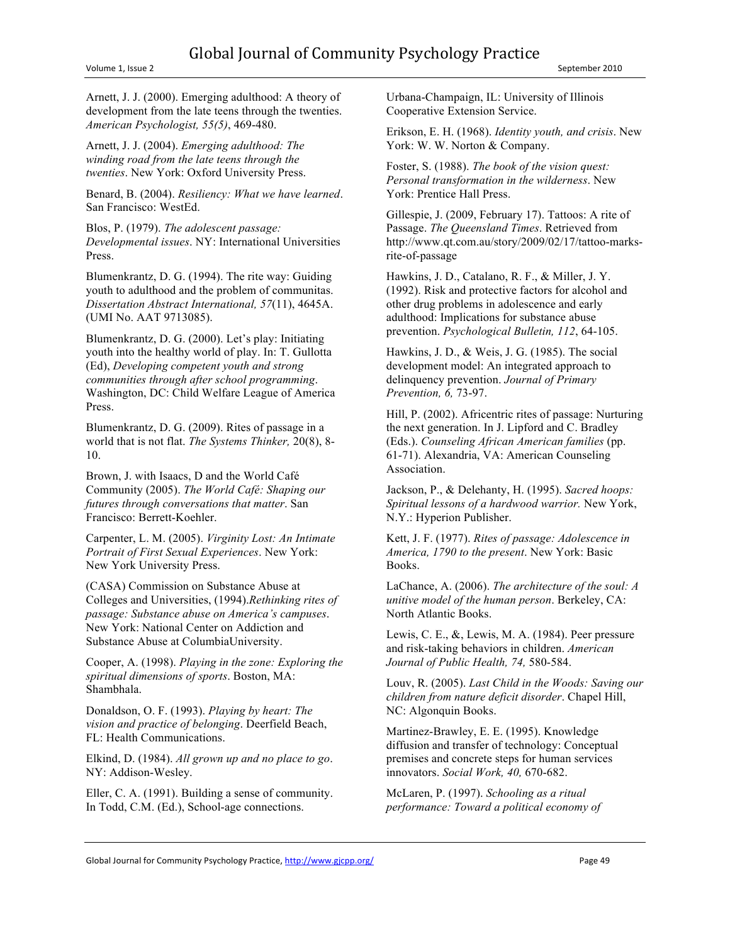Arnett, J. J. (2000). Emerging adulthood: A theory of development from the late teens through the twenties. *American Psychologist, 55(5)*, 469-480.

Arnett, J. J. (2004). *Emerging adulthood: The winding road from the late teens through the twenties*. New York: Oxford University Press.

Benard, B. (2004). *Resiliency: What we have learned*. San Francisco: WestEd.

Blos, P. (1979). *The adolescent passage: Developmental issues*. NY: International Universities Press.

Blumenkrantz, D. G. (1994). The rite way: Guiding youth to adulthood and the problem of communitas. *Dissertation Abstract International, 57*(11), 4645A. (UMI No. AAT 9713085).

Blumenkrantz, D. G. (2000). Let's play: Initiating youth into the healthy world of play. In: T. Gullotta (Ed), *Developing competent youth and strong communities through after school programming*. Washington, DC: Child Welfare League of America Press.

Blumenkrantz, D. G. (2009). Rites of passage in a world that is not flat. *The Systems Thinker,* 20(8), 8- 10.

Brown, J. with Isaacs, D and the World Café Community (2005). *The World Café: Shaping our futures through conversations that matter*. San Francisco: Berrett-Koehler.

Carpenter, L. M. (2005). *Virginity Lost: An Intimate Portrait of First Sexual Experiences*. New York: New York University Press.

(CASA) Commission on Substance Abuse at Colleges and Universities, (1994).*Rethinking rites of passage: Substance abuse on America's campuses*. New York: National Center on Addiction and Substance Abuse at ColumbiaUniversity.

Cooper, A. (1998). *Playing in the zone: Exploring the spiritual dimensions of sports*. Boston, MA: Shambhala.

Donaldson, O. F. (1993). *Playing by heart: The vision and practice of belonging*. Deerfield Beach, FL: Health Communications.

Elkind, D. (1984). *All grown up and no place to go*. NY: Addison-Wesley.

Eller, C. A. (1991). Building a sense of community. In Todd, C.M. (Ed.), School-age connections.

Urbana-Champaign, IL: University of Illinois Cooperative Extension Service.

Erikson, E. H. (1968). *Identity youth, and crisis*. New York: W. W. Norton & Company.

Foster, S. (1988). *The book of the vision quest: Personal transformation in the wilderness*. New York: Prentice Hall Press.

Gillespie, J. (2009, February 17). Tattoos: A rite of Passage. *The Queensland Times*. Retrieved from http://www.qt.com.au/story/2009/02/17/tattoo-marksrite-of-passage

Hawkins, J. D., Catalano, R. F., & Miller, J. Y. (1992). Risk and protective factors for alcohol and other drug problems in adolescence and early adulthood: Implications for substance abuse prevention. *Psychological Bulletin, 112*, 64-105.

Hawkins, J. D., & Weis, J. G. (1985). The social development model: An integrated approach to delinquency prevention. *Journal of Primary Prevention, 6,* 73-97.

Hill, P. (2002). Africentric rites of passage: Nurturing the next generation. In J. Lipford and C. Bradley (Eds.). *Counseling African American families* (pp. 61-71). Alexandria, VA: American Counseling Association.

Jackson, P., & Delehanty, H. (1995). *Sacred hoops: Spiritual lessons of a hardwood warrior.* New York, N.Y.: Hyperion Publisher.

Kett, J. F. (1977). *Rites of passage: Adolescence in America, 1790 to the present*. New York: Basic Books.

LaChance, A. (2006). *The architecture of the soul: A unitive model of the human person*. Berkeley, CA: North Atlantic Books.

Lewis, C. E., &, Lewis, M. A. (1984). Peer pressure and risk-taking behaviors in children. *American Journal of Public Health, 74,* 580-584.

Louv, R. (2005). *Last Child in the Woods: Saving our children from nature deficit disorder*. Chapel Hill, NC: Algonquin Books.

Martinez-Brawley, E. E. (1995). Knowledge diffusion and transfer of technology: Conceptual premises and concrete steps for human services innovators. *Social Work, 40,* 670-682.

McLaren, P. (1997). *Schooling as a ritual performance: Toward a political economy of*

Global Journal for Community Psychology Practice, http://www.gjcpp.org/ Page 49